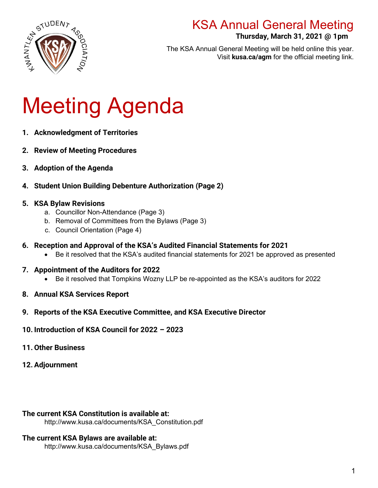

### **Thursday, March 31, 2021 @ 1pm**

**.** The KSA Annual General Meeting will be held online this year. Visit **kusa.ca/agm** for the official meeting link.

# Meeting Agenda

- **1. Acknowledgment of Territories**
- **2. Review of Meeting Procedures**
- **3. Adoption of the Agenda**
- **4. Student Union Building Debenture Authorization (Page 2)**

### **5. KSA Bylaw Revisions**

- a. Councillor Non-Attendance (Page 3)
- b. Removal of Committees from the Bylaws (Page 3)
- c. Council Orientation (Page 4)
- **6. Reception and Approval of the KSA's Audited Financial Statements for 2021**
	- Be it resolved that the KSA's audited financial statements for 2021 be approved as presented
- **7. Appointment of the Auditors for 2022**
	- Be it resolved that Tompkins Wozny LLP be re-appointed as the KSA's auditors for 2022
- **8. Annual KSA Services Report**
- **9. Reports of the KSA Executive Committee, and KSA Executive Director**
- **10. Introduction of KSA Council for 2022 2023**
- **11.Other Business**
- **12. Adjournment**

#### **The current KSA Constitution is available at:**

http://www.kusa.ca/documents/KSA\_Constitution.pdf

#### **The current KSA Bylaws are available at:**

http://www.kusa.ca/documents/KSA\_Bylaws.pdf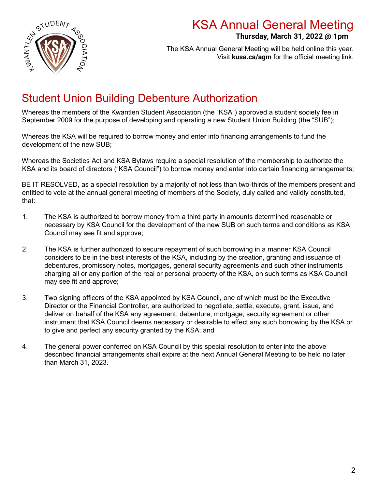

### **Thursday, March 31, 2022 @ 1pm**

**.** The KSA Annual General Meeting will be held online this year. Visit **kusa.ca/agm** for the official meeting link.

### Student Union Building Debenture Authorization

Whereas the members of the Kwantlen Student Association (the "KSA") approved a student society fee in September 2009 for the purpose of developing and operating a new Student Union Building (the "SUB");

Whereas the KSA will be required to borrow money and enter into financing arrangements to fund the development of the new SUB;

Whereas the Societies Act and KSA Bylaws require a special resolution of the membership to authorize the KSA and its board of directors ("KSA Council") to borrow money and enter into certain financing arrangements;

BE IT RESOLVED, as a special resolution by a majority of not less than two-thirds of the members present and entitled to vote at the annual general meeting of members of the Society, duly called and validly constituted, that:

- 1. The KSA is authorized to borrow money from a third party in amounts determined reasonable or necessary by KSA Council for the development of the new SUB on such terms and conditions as KSA Council may see fit and approve;
- 2. The KSA is further authorized to secure repayment of such borrowing in a manner KSA Council considers to be in the best interests of the KSA, including by the creation, granting and issuance of debentures, promissory notes, mortgages, general security agreements and such other instruments charging all or any portion of the real or personal property of the KSA, on such terms as KSA Council may see fit and approve;
- 3. Two signing officers of the KSA appointed by KSA Council, one of which must be the Executive Director or the Financial Controller, are authorized to negotiate, settle, execute, grant, issue, and deliver on behalf of the KSA any agreement, debenture, mortgage, security agreement or other instrument that KSA Council deems necessary or desirable to effect any such borrowing by the KSA or to give and perfect any security granted by the KSA; and
- 4. The general power conferred on KSA Council by this special resolution to enter into the above described financial arrangements shall expire at the next Annual General Meeting to be held no later than March 31, 2023.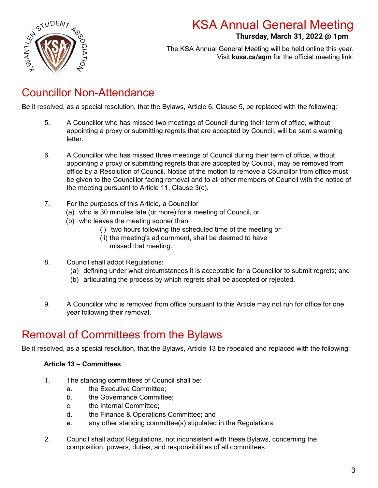

### **Thursday, March 31, 2022 @ 1pm**

**.** The KSA Annual General Meeting will be held online this year. Visit **kusa.ca/agm** for the official meeting link.

### Councillor Non-Attendance

Be it resolved, as a special resolution, that the Bylaws, Article 6, Clause 5, be replaced with the following:

- 5. A Councillor who has missed two meetings of Council during their term of office, without appointing a proxy or submitting regrets that are accepted by Council, will be sent a warning letter.
- 6. A Councillor who has missed three meetings of Council during their term of office, without appointing a proxy or submitting regrets that are accepted by Council, may be removed from office by a Resolution of Council. Notice of the motion to remove a Councillor from office must be given to the Councillor facing removal and to all other members of Council with the notice of the meeting pursuant to Article 11, Clause 3(c).
- 7. For the purposes of this Article, a Councillor
	- (a) who is 30 minutes late (or more) for a meeting of Council, or
	- (b) who leaves the meeting sooner than
		- (i) two hours following the scheduled time of the meeting or
		- (ii) the meeting's adjournment, shall be deemed to have missed that meeting.
- 8. Council shall adopt Regulations:
	- (a) defining under what circumstances it is acceptable for a Councillor to submit regrets; and
	- (b) articulating the process by which regrets shall be accepted or rejected.
- 9. A Councillor who is removed from office pursuant to this Article may not run for office for one year following their removal.

### Removal of Committees from the Bylaws

Be it resolved, as a special resolution, that the Bylaws, Article 13 be repealed and replaced with the following:

#### **Article 13 – Committees**

- 1. The standing committees of Council shall be:
	- a. the Executive Committee;
	- b. the Governance Committee;
	- c. the Internal Committee;
	- d. the Finance & Operations Committee; and
	- e. any other standing committee(s) stipulated in the Regulations.
- 2. Council shall adopt Regulations, not inconsistent with these Bylaws, concerning the composition, powers, duties, and responsibilities of all committees.